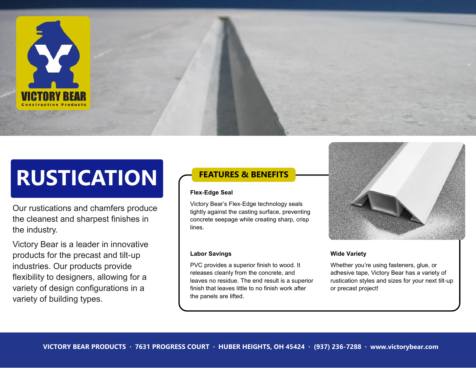

# **RUSTICATION**

Our rustications and chamfers produce the cleanest and sharpest finishes in the industry.

Victory Bear is a leader in innovative products for the precast and tilt-up industries. Our products provide flexibility to designers, allowing for a variety of design configurations in a variety of building types.

# **FEATURES & BENEFITS**

#### **Flex-Edge Seal**

Victory Bear's Flex-Edge technology seals tightly against the casting surface, preventing concrete seepage while creating sharp, crisp lines.

#### **Labor Savings**

PVC provides a superior finish to wood. It releases cleanly from the concrete, and leaves no residue. The end result is a superior finish that leaves little to no finish work after the panels are lifted.



#### **Wide Variety**

Whether you're using fasteners, glue, or adhesive tape, Victory Bear has a variety of rustication styles and sizes for your next tilt-up or precast project!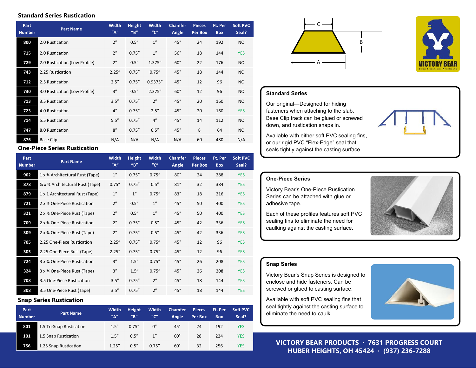#### **Standard Series Rustication**

| Part<br><b>Number</b> | <b>Part Name</b>              | <b>Width</b><br>''A'' | <b>Height</b><br>$^{\prime\prime}$ B" | <b>Width</b><br>$^{\prime\prime}$ C" | <b>Chamfer</b><br>Angle | Pieces<br>Per Box | Ft. Per<br><b>Box</b> | Soft PVC<br>Seal? |
|-----------------------|-------------------------------|-----------------------|---------------------------------------|--------------------------------------|-------------------------|-------------------|-----------------------|-------------------|
| 800                   | 2.0 Rustication               | 2"                    | 0.5''                                 | 1 <sup>''</sup>                      | $45^\circ$              | 24                | 192                   | <b>NO</b>         |
| 715                   | 2.0 Rustication               | 2"                    | 0.75''                                | 1 <sup>''</sup>                      | $56^\circ$              | 18                | 144                   | <b>YES</b>        |
| 729                   | 2.0 Rustication (Low Profile) | 2"                    | 0.5''                                 | 1.375"                               | $60^\circ$              | 22                | 176                   | <b>NO</b>         |
| 743                   | 2.25 Rustication              | 2.25''                | 0.75''                                | 0.75''                               | $45^\circ$              | 18                | 144                   | <b>NO</b>         |
| 712                   | 2.5 Rustication               | 2.5''                 | 0.75''                                | 0.9375"                              | $45^\circ$              | 12                | 96                    | <b>NO</b>         |
| 730                   | 3.0 Rustication (Low Profile) | 3''                   | 0.5''                                 | 2.375"                               | $60^\circ$              | 12                | 96                    | <b>NO</b>         |
| 713                   | 3.5 Rustication               | 3.5''                 | 0.75''                                | 2"                                   | $45^\circ$              | 20                | 160                   | <b>NO</b>         |
| 723                   | 4.0 Rustication               | 4"                    | 0.75''                                | 2.5''                                | $45^\circ$              | 20                | 160                   | <b>YES</b>        |
| 714                   | 5.5 Rustication               | 5.5''                 | 0.75''                                | 4"                                   | $45^\circ$              | 14                | 112                   | <b>NO</b>         |
| 747                   | 8.0 Rustication               | 8''                   | 0.75''                                | 6.5''                                | $45^\circ$              | 8                 | 64                    | <b>NO</b>         |
| 876                   | <b>Base Clip</b>              | N/A                   | N/A                                   | N/A                                  | N/A                     | 60                | 480                   | N/A               |

#### **One-Piece Series Rustication**

| Part<br><b>Number</b> | <b>Part Name</b>                | <b>Width</b><br>''A'' | <b>Height</b><br>$^{\prime\prime}$ B" | <b>Width</b><br>$^{\prime\prime}$ C" | Chamfer<br>Angle | <b>Pieces</b><br>Per Box | Ft. Per<br><b>Box</b> | Soft PVC<br>Seal? |
|-----------------------|---------------------------------|-----------------------|---------------------------------------|--------------------------------------|------------------|--------------------------|-----------------------|-------------------|
| 902                   | 1 x % Architectural Rust (Tape) | 1"                    | 0.75''                                | 0.75''                               | $80^\circ$       | 24                       | 288                   | <b>YES</b>        |
| 878                   | % x % Architectural Rust (Tape) | 0.75''                | 0.75''                                | 0.5''                                | $81^\circ$       | 32                       | 384                   | <b>YES</b>        |
| 879                   | 1 x 1 Architectural Rust (Tape) | 1"                    | 1"                                    | 0.75''                               | $83^\circ$       | 18                       | 216                   | <b>YES</b>        |
| 721                   | 2 x % One-Piece Rustication     | 2"                    | 0.5''                                 | 1"                                   | $45^\circ$       | 50                       | 400                   | <b>YES</b>        |
| 321                   | 2 x % One-Piece Rust (Tape)     | 2"                    | 0.5''                                 | 1"                                   | $45^\circ$       | 50                       | 400                   | <b>YES</b>        |
| 709                   | 2 x % One-Piece Rustication     | 2"                    | 0.75''                                | 0.5''                                | $45^\circ$       | 42                       | 336                   | <b>YES</b>        |
| 309                   | 2 x % One-Piece Rust (Tape)     | 2"                    | 0.75''                                | 0.5''                                | $45^\circ$       | 42                       | 336                   | <b>YES</b>        |
| 705                   | 2.25 One-Piece Rustication      | 2.25''                | 0.75''                                | 0.75''                               | $45^\circ$       | 12                       | 96                    | <b>YES</b>        |
| 305                   | 2.25 One-Piece Rust (Tape)      | 2.25''                | 0.75''                                | 0.75''                               | $45^\circ$       | 12                       | 96                    | <b>YES</b>        |
| 724                   | 3 x % One-Piece Rustication     | 3''                   | 1.5''                                 | 0.75''                               | $45^\circ$       | 26                       | 208                   | <b>YES</b>        |
| 324                   | 3 x % One-Piece Rust (Tape)     | 3''                   | 1.5''                                 | 0.75''                               | $45^\circ$       | 26                       | 208                   | <b>YES</b>        |
| 708                   | 3.5 One-Piece Rustication       | 3.5''                 | 0.75''                                | 2"                                   | $45^\circ$       | 18                       | 144                   | <b>YES</b>        |
| 308                   | 3.5 One-Piece Rust (Tape)       | 3.5''                 | 0.75''                                | 2"                                   | $45^\circ$       | 18                       | 144                   | <b>YES</b>        |

## **Snap Series Rustication**

| Part<br><b>Number</b> | <b>Part Name</b>         | <b>Width</b><br>$^{\prime\prime}$ A $^{\prime\prime}$ | Height<br>$^{\prime\prime}$ B" | <b>Width</b><br>$^{\prime\prime}$ C $^{\prime\prime}$ | <b>Chamfer</b><br>Angle | <b>Pieces</b><br>Per Box | Ft. Per<br><b>Box</b> | Soft PVC<br>Seal? |
|-----------------------|--------------------------|-------------------------------------------------------|--------------------------------|-------------------------------------------------------|-------------------------|--------------------------|-----------------------|-------------------|
| 801                   | 1.5 Tri-Snap Rustication | 1.5''                                                 | 0.75''                         | 0''                                                   | $45^\circ$              | 24                       | 192                   | <b>YES</b>        |
| 101                   | 1.5 Snap Rustication     | 1.5''                                                 | 0.5''                          | 1"                                                    | $60^\circ$              | 28                       | 224                   | <b>YES</b>        |
| 756                   | 1.25 Snap Rustication    | 1.25''                                                | 0.5''                          | 0.75''                                                | $60^\circ$              | 32                       | 256                   | YES               |





# **Standard Series**

Our original—Designed for hiding fasteners when attaching to the slab. Base Clip track can be glued or screwed down, and rustication snaps in.

Available with either soft PVC sealing fins, or our rigid PVC "Flex-Edge" seal that seals tightly against the casting surface.

## **One-Piece Series**

Victory Bear's One-Piece Rustication Series can be attached with glue or adhesive tape.

Each of these profiles features soft PVC sealing fins to eliminate the need for caulking against the casting surface.



# **Snap Series**

Victory Bear's Snap Series is designed to enclose and hide fasteners. Can be screwed or glued to casting surface.

Available with soft PVC sealing fins that seal tightly against the casting surface to eliminate the need to caulk.



**VICTORY BEAR PRODUCTS · 7631 PROGRESS COURT HUBER HEIGHTS, OH 45424 · (937) 236-7288**